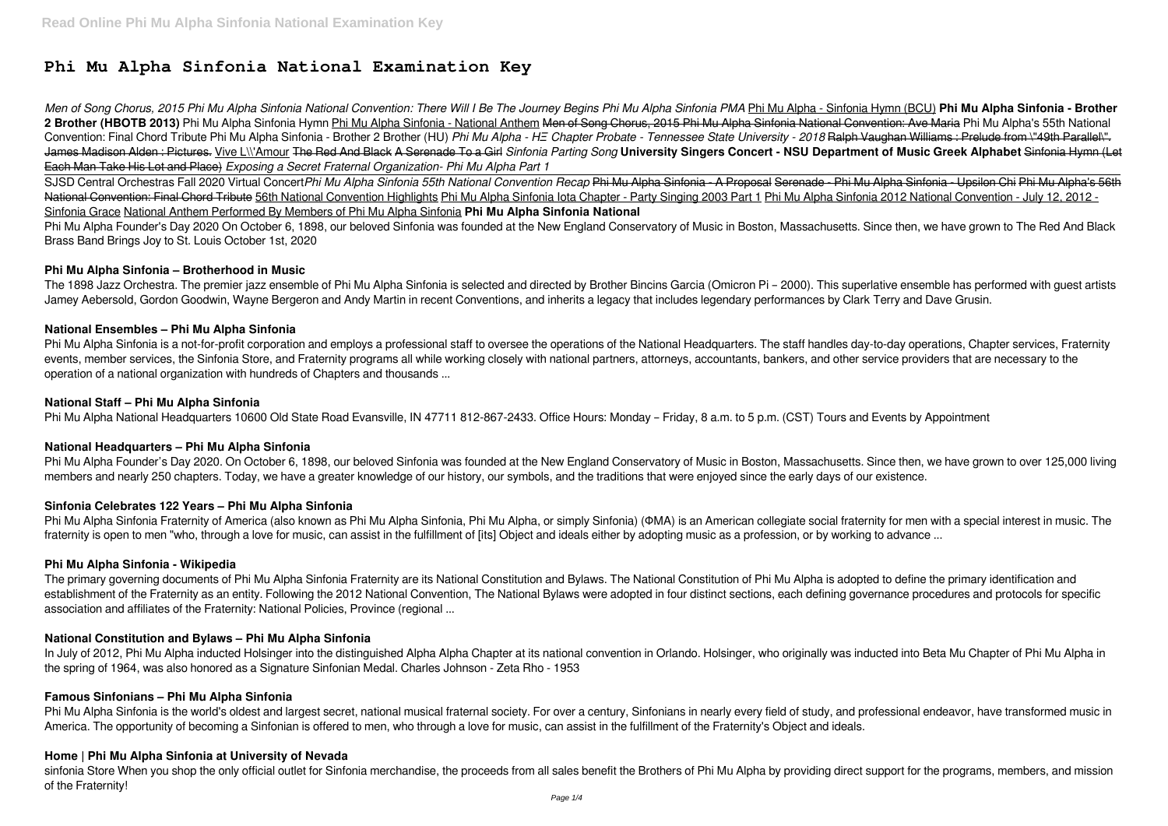# **Phi Mu Alpha Sinfonia National Examination Key**

*Men of Song Chorus, 2015 Phi Mu Alpha Sinfonia National Convention: There Will I Be The Journey Begins Phi Mu Alpha Sinfonia PMA* Phi Mu Alpha - Sinfonia Hymn (BCU) **Phi Mu Alpha Sinfonia - Brother** 2 Brother (HBOTB 2013) Phi Mu Alpha Sinfonia Hymn Phi Mu Alpha Sinfonia - National Anthem Men of Song Chorus, 2015 Phi Mu Alpha Sinfonia National Convention: Ave Maria Phi Mu Alpha's 55th National Convention: Final Chord Tribute Phi Mu Alpha Sinfonia - Brother 2 Brother (HU) Phi Mu Alpha - H= Chapter Probate - Tennessee State University - 2018 Ralph Vaughan Williams : Prelude from \"49th Parallel\". James Madison Alden : Pictures. Vive L\\'Amour The Red And Black A Serenade To a Girl *Sinfonia Parting Song* **University Singers Concert - NSU Department of Music Greek Alphabet** Sinfonia Hymn (Let Each Man Take His Lot and Place) *Exposing a Secret Fraternal Organization- Phi Mu Alpha Part 1*

Phi Mu Alpha Founder's Day 2020 On October 6, 1898, our beloved Sinfonia was founded at the New England Conservatory of Music in Boston, Massachusetts. Since then, we have grown to The Red And Black Brass Band Brings Joy to St. Louis October 1st, 2020

SJSD Central Orchestras Fall 2020 Virtual Concert*Phi Mu Alpha Sinfonia 55th National Convention Recap* Phi Mu Alpha Sinfonia - A Proposal Serenade - Phi Mu Alpha Sinfonia - Upsilon Chi Phi Mu Alpha's 56th National Convention: Final Chord Tribute 56th National Convention Highlights Phi Mu Alpha Sinfonia Iota Chapter - Party Singing 2003 Part 1 Phi Mu Alpha Sinfonia 2012 National Convention - July 12, 2012 -Sinfonia Grace National Anthem Performed By Members of Phi Mu Alpha Sinfonia **Phi Mu Alpha Sinfonia National**

Phi Mu Alpha Sinfonia is a not-for-profit corporation and employs a professional staff to oversee the operations of the National Headquarters. The staff handles day-to-day operations, Chapter services, Fraternity events, member services, the Sinfonia Store, and Fraternity programs all while working closely with national partners, attorneys, accountants, bankers, and other service providers that are necessary to the operation of a national organization with hundreds of Chapters and thousands ...

## **Phi Mu Alpha Sinfonia – Brotherhood in Music**

The 1898 Jazz Orchestra. The premier jazz ensemble of Phi Mu Alpha Sinfonia is selected and directed by Brother Bincins Garcia (Omicron Pi – 2000). This superlative ensemble has performed with guest artists Jamey Aebersold, Gordon Goodwin, Wayne Bergeron and Andy Martin in recent Conventions, and inherits a legacy that includes legendary performances by Clark Terry and Dave Grusin.

## **National Ensembles – Phi Mu Alpha Sinfonia**

Phi Mu Alpha Sinfonia is the world's oldest and largest secret, national musical fraternal society. For over a century, Sinfonians in nearly every field of study, and professional endeavor, have transformed music in America. The opportunity of becoming a Sinfonian is offered to men, who through a love for music, can assist in the fulfillment of the Fraternity's Object and ideals.

sinfonia Store When you shop the only official outlet for Sinfonia merchandise, the proceeds from all sales benefit the Brothers of Phi Mu Alpha by providing direct support for the programs, members, and mission of the Fraternity!

## **National Staff – Phi Mu Alpha Sinfonia**

Phi Mu Alpha National Headquarters 10600 Old State Road Evansville, IN 47711 812-867-2433. Office Hours: Monday – Friday, 8 a.m. to 5 p.m. (CST) Tours and Events by Appointment

#### **National Headquarters – Phi Mu Alpha Sinfonia**

Phi Mu Alpha Founder's Day 2020. On October 6, 1898, our beloved Sinfonia was founded at the New England Conservatory of Music in Boston, Massachusetts. Since then, we have grown to over 125,000 living members and nearly 250 chapters. Today, we have a greater knowledge of our history, our symbols, and the traditions that were enjoyed since the early days of our existence.

# **Sinfonia Celebrates 122 Years – Phi Mu Alpha Sinfonia**

Phi Mu Alpha Sinfonia Fraternity of America (also known as Phi Mu Alpha Sinfonia, Phi Mu Alpha, or simply Sinfonia) (ΦΜΑ) is an American collegiate social fraternity for men with a special interest in music. The fraternity is open to men "who, through a love for music, can assist in the fulfillment of [its] Object and ideals either by adopting music as a profession, or by working to advance ...

#### **Phi Mu Alpha Sinfonia - Wikipedia**

The primary governing documents of Phi Mu Alpha Sinfonia Fraternity are its National Constitution and Bylaws. The National Constitution of Phi Mu Alpha is adopted to define the primary identification and establishment of the Fraternity as an entity. Following the 2012 National Convention, The National Bylaws were adopted in four distinct sections, each defining governance procedures and protocols for specific association and affiliates of the Fraternity: National Policies, Province (regional ...

# **National Constitution and Bylaws – Phi Mu Alpha Sinfonia**

In July of 2012, Phi Mu Alpha inducted Holsinger into the distinguished Alpha Alpha Chapter at its national convention in Orlando. Holsinger, who originally was inducted into Beta Mu Chapter of Phi Mu Alpha in the spring of 1964, was also honored as a Signature Sinfonian Medal. Charles Johnson - Zeta Rho - 1953

#### **Famous Sinfonians – Phi Mu Alpha Sinfonia**

# **Home | Phi Mu Alpha Sinfonia at University of Nevada**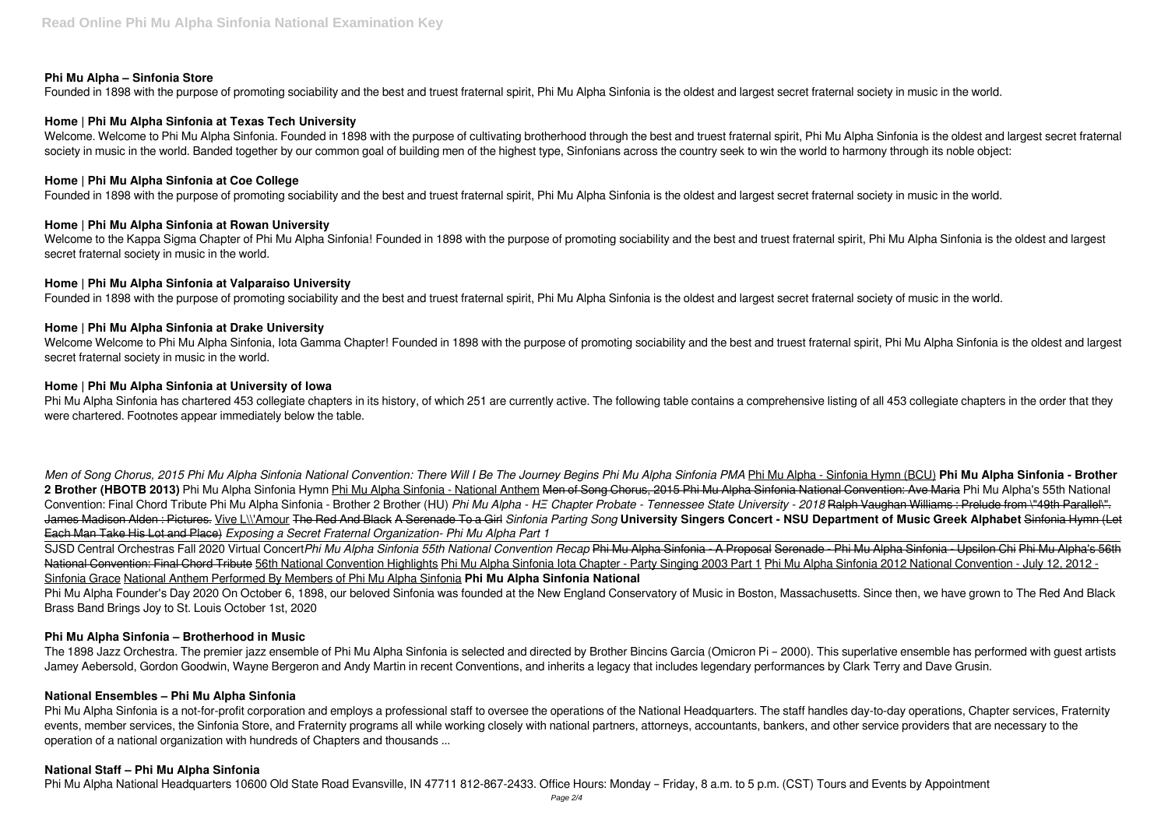## **Phi Mu Alpha – Sinfonia Store**

Founded in 1898 with the purpose of promoting sociability and the best and truest fraternal spirit, Phi Mu Alpha Sinfonia is the oldest and largest secret fraternal society in music in the world.

## **Home | Phi Mu Alpha Sinfonia at Texas Tech University**

Welcome. Welcome to Phi Mu Alpha Sinfonia. Founded in 1898 with the purpose of cultivating brotherhood through the best and truest fraternal spirit. Phi Mu Alpha Sinfonia is the oldest and largest secret fraternal society in music in the world. Banded together by our common goal of building men of the highest type. Sinfonians across the country seek to win the world to harmony through its noble object:

Welcome to the Kappa Sigma Chapter of Phi Mu Alpha Sinfonia! Founded in 1898 with the purpose of promoting sociability and the best and truest fraternal spirit, Phi Mu Alpha Sinfonia is the oldest and largest secret fraternal society in music in the world.

## **Home | Phi Mu Alpha Sinfonia at Coe College**

Founded in 1898 with the purpose of promoting sociability and the best and truest fraternal spirit, Phi Mu Alpha Sinfonia is the oldest and largest secret fraternal society in music in the world.

Welcome Welcome to Phi Mu Alpha Sinfonia, Iota Gamma Chapter! Founded in 1898 with the purpose of promoting sociability and the best and truest fraternal spirit, Phi Mu Alpha Sinfonia is the oldest and largest secret fraternal society in music in the world.

## **Home | Phi Mu Alpha Sinfonia at Rowan University**

Phi Mu Alpha Sinfonia has chartered 453 collegiate chapters in its history, of which 251 are currently active. The following table contains a comprehensive listing of all 453 collegiate chapters in the order that they were chartered. Footnotes appear immediately below the table.

## **Home | Phi Mu Alpha Sinfonia at Valparaiso University**

Founded in 1898 with the purpose of promoting sociability and the best and truest fraternal spirit, Phi Mu Alpha Sinfonia is the oldest and largest secret fraternal society of music in the world.

## **Home | Phi Mu Alpha Sinfonia at Drake University**

## **Home | Phi Mu Alpha Sinfonia at University of Iowa**

Phi Mu Alpha Sinfonia is a not-for-profit corporation and employs a professional staff to oversee the operations of the National Headquarters. The staff handles day-to-day operations, Chapter services, Fraternity events, member services, the Sinfonia Store, and Fraternity programs all while working closely with national partners, attorneys, accountants, bankers, and other service providers that are necessary to the operation of a national organization with hundreds of Chapters and thousands ...

*Men of Song Chorus, 2015 Phi Mu Alpha Sinfonia National Convention: There Will I Be The Journey Begins Phi Mu Alpha Sinfonia PMA* Phi Mu Alpha - Sinfonia Hymn (BCU) **Phi Mu Alpha Sinfonia - Brother** 2 Brother (HBOTB 2013) Phi Mu Alpha Sinfonia Hymn Phi Mu Alpha Sinfonia - National Anthem <del>Men of Song Chorus, 2015 Phi Mu Alpha Sinfonia National Convention: Ave Maria</del> Phi Mu Alpha's 55th National Convention: Final Chord Tribute Phi Mu Alpha Sinfonia - Brother 2 Brother (HU) *Phi Mu Alpha - HΞ Chapter Probate - Tennessee State University - 2018* Ralph Vaughan Williams : Prelude from \"49th Parallel\". James Madison Alden : Pictures. Vive L\\'Amour The Red And Black A Serenade To a Girl *Sinfonia Parting Song* **University Singers Concert - NSU Department of Music Greek Alphabet** Sinfonia Hymn (Let Each Man Take His Lot and Place) *Exposing a Secret Fraternal Organization- Phi Mu Alpha Part 1*

SJSD Central Orchestras Fall 2020 Virtual Concert*Phi Mu Alpha Sinfonia 55th National Convention Recap* Phi Mu Alpha Sinfonia - A Proposal Serenade - Phi Mu Alpha Sinfonia - Upsilon Chi Phi Mu Alpha's 56th National Convention: Final Chord Tribute 56th National Convention Highlights Phi Mu Alpha Sinfonia Iota Chapter - Party Singing 2003 Part 1 Phi Mu Alpha Sinfonia 2012 National Convention - July 12, 2012 -Sinfonia Grace National Anthem Performed By Members of Phi Mu Alpha Sinfonia **Phi Mu Alpha Sinfonia National**

Phi Mu Alpha Founder's Day 2020 On October 6, 1898, our beloved Sinfonia was founded at the New England Conservatory of Music in Boston, Massachusetts. Since then, we have grown to The Red And Black Brass Band Brings Joy to St. Louis October 1st, 2020

# **Phi Mu Alpha Sinfonia – Brotherhood in Music**

The 1898 Jazz Orchestra. The premier jazz ensemble of Phi Mu Alpha Sinfonia is selected and directed by Brother Bincins Garcia (Omicron Pi – 2000). This superlative ensemble has performed with guest artists Jamey Aebersold, Gordon Goodwin, Wayne Bergeron and Andy Martin in recent Conventions, and inherits a legacy that includes legendary performances by Clark Terry and Dave Grusin.

#### **National Ensembles – Phi Mu Alpha Sinfonia**

#### **National Staff – Phi Mu Alpha Sinfonia**

Phi Mu Alpha National Headquarters 10600 Old State Road Evansville, IN 47711 812-867-2433. Office Hours: Monday – Friday, 8 a.m. to 5 p.m. (CST) Tours and Events by Appointment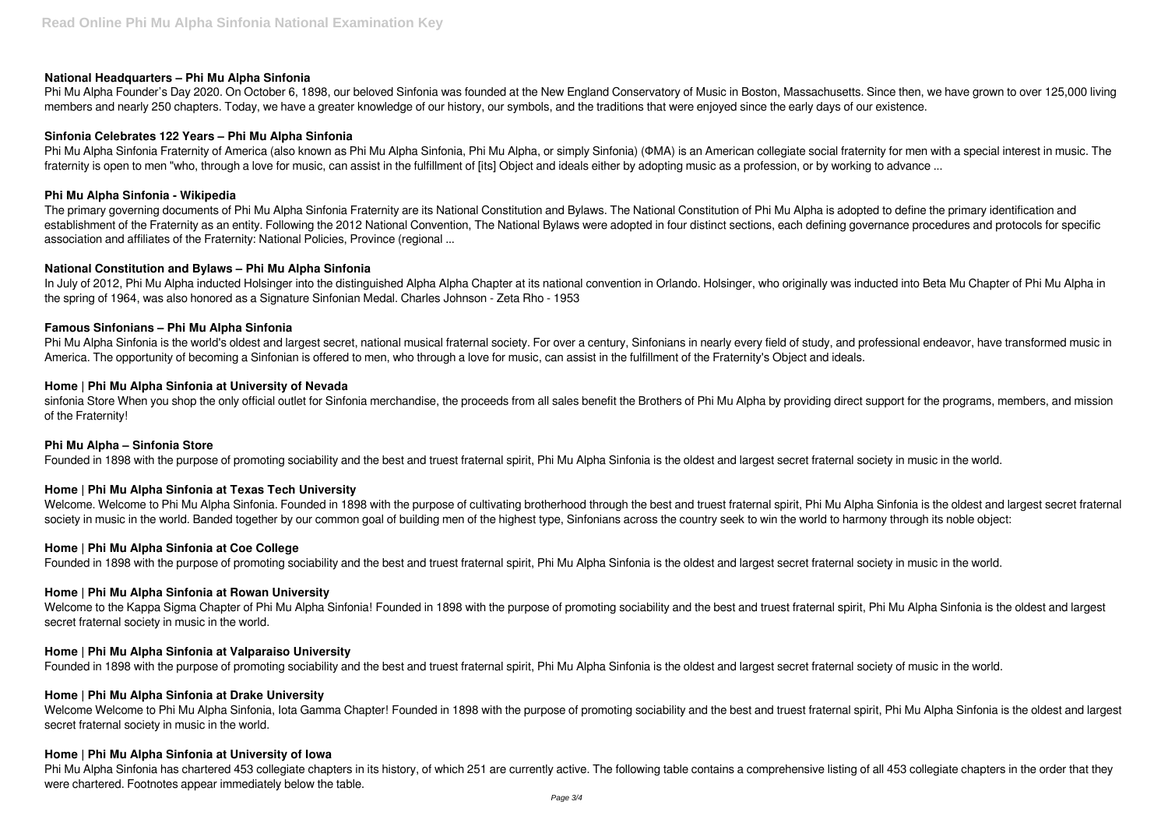## **National Headquarters – Phi Mu Alpha Sinfonia**

Phi Mu Alpha Founder's Day 2020. On October 6, 1898, our beloved Sinfonia was founded at the New England Conservatory of Music in Boston, Massachusetts. Since then, we have grown to over 125,000 living members and nearly 250 chapters. Today, we have a greater knowledge of our history, our symbols, and the traditions that were enjoyed since the early days of our existence.

## **Sinfonia Celebrates 122 Years – Phi Mu Alpha Sinfonia**

Phi Mu Alpha Sinfonia Fraternity of America (also known as Phi Mu Alpha Sinfonia, Phi Mu Alpha, or simply Sinfonia) (ΦΜΑ) is an American collegiate social fraternity for men with a special interest in music. The fraternity is open to men "who, through a love for music, can assist in the fulfillment of [its] Object and ideals either by adopting music as a profession, or by working to advance ...

In July of 2012, Phi Mu Alpha inducted Holsinger into the distinguished Alpha Alpha Chapter at its national convention in Orlando. Holsinger, who originally was inducted into Beta Mu Chapter of Phi Mu Alpha in the spring of 1964, was also honored as a Signature Sinfonian Medal. Charles Johnson - Zeta Rho - 1953

## **Phi Mu Alpha Sinfonia - Wikipedia**

Phi Mu Alpha Sinfonia is the world's oldest and largest secret, national musical fraternal society. For over a century, Sinfonians in nearly every field of study, and professional endeavor, have transformed music in America. The opportunity of becoming a Sinfonian is offered to men, who through a love for music, can assist in the fulfillment of the Fraternity's Object and ideals.

The primary governing documents of Phi Mu Alpha Sinfonia Fraternity are its National Constitution and Bylaws. The National Constitution of Phi Mu Alpha is adopted to define the primary identification and establishment of the Fraternity as an entity. Following the 2012 National Convention, The National Bylaws were adopted in four distinct sections, each defining governance procedures and protocols for specific association and affiliates of the Fraternity: National Policies, Province (regional ...

sinfonia Store When you shop the only official outlet for Sinfonia merchandise, the proceeds from all sales benefit the Brothers of Phi Mu Alpha by providing direct support for the programs, members, and mission of the Fraternity!

## **National Constitution and Bylaws – Phi Mu Alpha Sinfonia**

## **Famous Sinfonians – Phi Mu Alpha Sinfonia**

Welcome to the Kappa Sigma Chapter of Phi Mu Alpha Sinfonia! Founded in 1898 with the purpose of promoting sociability and the best and truest fraternal spirit, Phi Mu Alpha Sinfonia is the oldest and largest secret fraternal society in music in the world.

Welcome Welcome to Phi Mu Alpha Sinfonia, Iota Gamma Chapter! Founded in 1898 with the purpose of promoting sociability and the best and truest fraternal spirit, Phi Mu Alpha Sinfonia is the oldest and largest secret fraternal society in music in the world.

## **Home | Phi Mu Alpha Sinfonia at University of Nevada**

#### **Phi Mu Alpha – Sinfonia Store**

Founded in 1898 with the purpose of promoting sociability and the best and truest fraternal spirit, Phi Mu Alpha Sinfonia is the oldest and largest secret fraternal society in music in the world.

# **Home | Phi Mu Alpha Sinfonia at Texas Tech University**

Welcome. Welcome to Phi Mu Alpha Sinfonia. Founded in 1898 with the purpose of cultivating brotherhood through the best and truest fraternal spirit, Phi Mu Alpha Sinfonia is the oldest and largest secret fraternal society in music in the world. Banded together by our common goal of building men of the highest type, Sinfonians across the country seek to win the world to harmony through its noble object:

#### **Home | Phi Mu Alpha Sinfonia at Coe College**

Founded in 1898 with the purpose of promoting sociability and the best and truest fraternal spirit, Phi Mu Alpha Sinfonia is the oldest and largest secret fraternal society in music in the world.

# **Home | Phi Mu Alpha Sinfonia at Rowan University**

#### **Home | Phi Mu Alpha Sinfonia at Valparaiso University**

Founded in 1898 with the purpose of promoting sociability and the best and truest fraternal spirit, Phi Mu Alpha Sinfonia is the oldest and largest secret fraternal society of music in the world.

#### **Home | Phi Mu Alpha Sinfonia at Drake University**

#### **Home | Phi Mu Alpha Sinfonia at University of Iowa**

Phi Mu Alpha Sinfonia has chartered 453 collegiate chapters in its history, of which 251 are currently active. The following table contains a comprehensive listing of all 453 collegiate chapters in the order that they were chartered. Footnotes appear immediately below the table.